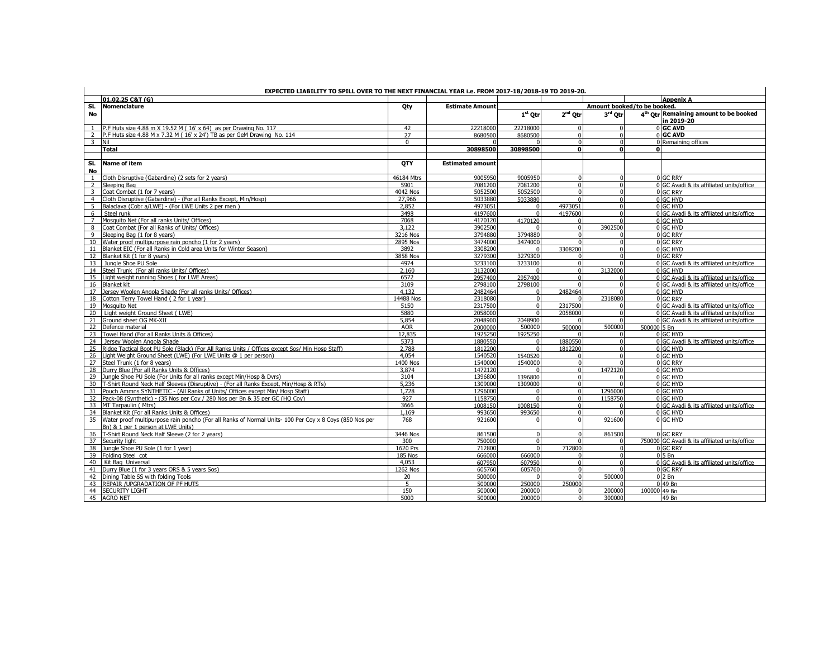|                         | EXPECTED LIABILITY TO SPILL OVER TO THE NEXT FINANCIAL YEAR i.e. FROM 2017-18/2018-19 TO 2019-20.                                              |                |                         |                   |           |                             |              |                                                                 |  |  |  |  |
|-------------------------|------------------------------------------------------------------------------------------------------------------------------------------------|----------------|-------------------------|-------------------|-----------|-----------------------------|--------------|-----------------------------------------------------------------|--|--|--|--|
|                         | 01.02.25 C&T (G)                                                                                                                               |                |                         |                   |           |                             |              | <b>Appenix A</b>                                                |  |  |  |  |
| <b>SL</b>               | Nomenclature                                                                                                                                   | Qty            | <b>Estimate Amount</b>  |                   |           | Amount booked/to be booked. |              |                                                                 |  |  |  |  |
| No                      |                                                                                                                                                |                |                         | $1st$ Otr $\vert$ | $2nd$ Otr | 3rd Otr                     |              | 4 <sup>th</sup> Otr Remaining amount to be booked<br>in 2019-20 |  |  |  |  |
|                         | 1 P.F Huts size 4.88 m X 19.52 M (16' x 64) as per Drawing No. 117                                                                             | 42             | 22218000                | 22218000          | $\Omega$  |                             |              | 0 GC AVD                                                        |  |  |  |  |
|                         | 2 P.F Huts size 4.88 M x 7.32 M (16' x 24') TB as per GeM Drawing No. 114                                                                      | 27             | 8680500                 | 8680500           | $\Omega$  | $\Omega$                    |              | 0 GC AVD                                                        |  |  |  |  |
|                         | $3$ Nil                                                                                                                                        | $\Omega$       |                         |                   |           | $\Omega$                    |              | 0 Remaining offices                                             |  |  |  |  |
|                         | <b>Total</b>                                                                                                                                   |                | 30898500                | 30898500          | 0         | $\mathbf{0}$                | n            |                                                                 |  |  |  |  |
|                         |                                                                                                                                                |                |                         |                   |           |                             |              |                                                                 |  |  |  |  |
| SL.<br><b>No</b>        | <b>Name of item</b>                                                                                                                            | <b>OTY</b>     | <b>Estimated amount</b> |                   |           |                             |              |                                                                 |  |  |  |  |
| 1                       | Cloth Disruptive (Gabardine) (2 sets for 2 years)                                                                                              | 46184 Mtrs     | 9005950                 | 9005950           |           |                             |              | 0 GC RRY                                                        |  |  |  |  |
| $\overline{2}$          | Sleeping Bag                                                                                                                                   | 5901           | 7081200                 | 7081200           | $\Omega$  |                             |              | 0 GC Avadi & its affiliated units/office                        |  |  |  |  |
| $\overline{\mathbf{3}}$ | Coat Combat (1 for 7 years)                                                                                                                    | 4042 Nos       | 5052500                 | 5052500           |           | $\Omega$                    |              | 0 GC RRY                                                        |  |  |  |  |
| $\overline{4}$          | Cloth Disruptive (Gabardine) - (For all Ranks Except, Min/Hosp)                                                                                | 27,966         | 5033880                 | 5033880           |           |                             |              | 0 GC HYD                                                        |  |  |  |  |
| 5                       | Balaclava (Cobr a/LWE) - (For LWE Units 2 per men)                                                                                             | 2,852          | 4973051                 |                   | 4973051   | $\Omega$                    |              | 0 GC HYD                                                        |  |  |  |  |
|                         | 6 Steel runk                                                                                                                                   | 3498           | 4197600                 |                   | 4197600   |                             |              | 0 GC Avadi & its affiliated units/office                        |  |  |  |  |
|                         | 7 Mosquito Net (For all ranks Units/ Offices)                                                                                                  | 7068           | 4170120                 | 4170120           |           |                             |              | 0 GC HYD                                                        |  |  |  |  |
| 8                       | Coat Combat (For all Ranks of Units/ Offices)                                                                                                  | 3.122          | 3902500                 |                   |           | 3902500                     |              | 0 GC HYD                                                        |  |  |  |  |
|                         | 9 Sleeping Bag (1 for 8 years)                                                                                                                 | 3216 Nos       | 3794880                 | 3794880           |           |                             |              | 0 GC RRY                                                        |  |  |  |  |
|                         | 10 Water proof multipurpose rain poncho (1 for 2 years)                                                                                        | 2895 Nos       | 3474000                 | 3474000           |           |                             |              | 0 GC RRY                                                        |  |  |  |  |
|                         | 11 Blanket EIC (For all Ranks in Cold area Units for Winter Season)                                                                            | 3892           | 3308200                 |                   | 3308200   | $\Omega$                    |              | 0 GC HYD                                                        |  |  |  |  |
|                         | 12 Blanket Kit (1 for 8 years)                                                                                                                 | 3858 Nos       | 3279300                 | 3279300           |           |                             |              | 0 GC RRY                                                        |  |  |  |  |
|                         | 13 Jungle Shoe PU Sole                                                                                                                         | 4974           | 3233100                 | 3233100           | $\Omega$  |                             |              | 0 GC Avadi & its affiliated units/office                        |  |  |  |  |
|                         | 14 Steel Trunk (For all ranks Units/ Offices)                                                                                                  | 2,160          | 3132000                 |                   |           | 3132000                     |              | 0 GC HYD                                                        |  |  |  |  |
|                         | 15 Light weight running Shoes (for LWE Areas)                                                                                                  | 6572           | 2957400                 | 2957400           | $\Omega$  |                             |              | 0 GC Avadi & its affiliated units/office                        |  |  |  |  |
|                         | 16 Blanket kit                                                                                                                                 | 3109           | 2798100                 | 2798100           |           |                             |              | 0 GC Avadi & its affiliated units/office                        |  |  |  |  |
|                         | 17 Jersey Woolen Angola Shade (For all ranks Units/ Offices)                                                                                   | 4.132          | 2482464                 |                   | 2482464   |                             |              | 0 GC HYD                                                        |  |  |  |  |
|                         | 18 Cotton Terry Towel Hand (2 for 1 year)                                                                                                      | 14488 Nos      | 2318080                 |                   |           | 2318080                     |              | 0 GC RRY                                                        |  |  |  |  |
|                         | 19 Mosquito Net                                                                                                                                | 5150           | 2317500                 |                   | 2317500   |                             |              | 0 GC Avadi & its affiliated units/office                        |  |  |  |  |
|                         | 20 Light weight Ground Sheet (LWE)                                                                                                             | 5880           | 2058000                 |                   | 2058000   |                             |              | 0 GC Avadi & its affiliated units/office                        |  |  |  |  |
|                         | 21 Ground sheet OG MK-XII                                                                                                                      | 5.854          | 2048900                 | 2048900           |           |                             |              | 0 GC Avadi & its affiliated units/office                        |  |  |  |  |
|                         | 22 Defence material                                                                                                                            | <b>AOR</b>     | 2000000                 | 500000            | 500000    | 500000                      | 500000 5 Bn  |                                                                 |  |  |  |  |
|                         | 23 Towel Hand (For all Ranks Units & Offices)                                                                                                  | 12,835         | 1925250                 | 1925250           |           |                             |              | 0 GC HYD                                                        |  |  |  |  |
|                         | 24 Jersey Woolen Angola Shade                                                                                                                  | 5373           | 1880550                 |                   | 1880550   | $\Omega$                    |              | 0 GC Avadi & its affiliated units/office                        |  |  |  |  |
| 25                      | Ridge Tactical Boot PU Sole (Black) (For All Ranks Units / Offices except Sos/ Min Hosp Staff)                                                 | 2.788          | 1812200                 |                   | 1812200   |                             |              | 0 GC HYD                                                        |  |  |  |  |
|                         | 26 Light Weight Ground Sheet (LWE) (For LWE Units @ 1 per person)                                                                              | 4.054          | 1540520                 | 1540520           |           |                             |              | 0 GC HYD                                                        |  |  |  |  |
|                         | 27 Steel Trunk (1 for 8 years)                                                                                                                 | 1400 Nos       | 1540000                 | 1540000           |           |                             |              | 0 GC RRY                                                        |  |  |  |  |
|                         | 28 Durry Blue (For all Ranks Units & Offices)                                                                                                  | 3,874          | 1472120                 |                   | $\Omega$  | 1472120                     |              | 0 GC HYD                                                        |  |  |  |  |
|                         | 29 Jungle Shoe PU Sole (For Units for all ranks except Min/Hosp & Dyrs)                                                                        | 3104           | 1396800                 | 1396800           | $\Omega$  |                             |              | 0 GC HYD                                                        |  |  |  |  |
|                         | 30 T-Shirt Round Neck Half Sleeves (Disruptive) - (For all Ranks Except, Min/Hosp & RTs)                                                       | 5.236          | 1309000                 | 1309000           | $\Omega$  |                             |              | 0 GC HYD                                                        |  |  |  |  |
|                         | 31 Pouch Ammns SYNTHETIC - (All Ranks of Units/ Offices except Min/ Hosp Staff)                                                                | 1.728          | 1296000                 |                   | $\Omega$  | 1296000                     |              | 0 GC HYD                                                        |  |  |  |  |
|                         | 32 Pack-08 (Synthetic) - (35 Nos per Coy / 280 Nos per Bn & 35 per GC (HQ Coy)                                                                 | 927            | 1158750                 | $\Omega$          | $\Omega$  | 1158750                     |              | 0 GC HYD                                                        |  |  |  |  |
|                         | 33 MT Tarpaulin (Mtrs)                                                                                                                         | 3666           | 1008150                 | 1008150           | $\Omega$  |                             |              | 0 GC Avadi & its affiliated units/office                        |  |  |  |  |
|                         | 34 Blanket Kit (For all Ranks Units & Offices)                                                                                                 | 1.169          | 993650                  | 993650            | $\Omega$  |                             |              | 0 GC HYD                                                        |  |  |  |  |
|                         | 35 Water proof multipurpose rain poncho (For all Ranks of Normal Units-100 Per Coy x 8 Coys (850 Nos per<br>Bn) & 1 per 1 person at LWE Units) | 768            | 921600                  |                   | $\Omega$  | 921600                      |              | 0 GC HYD                                                        |  |  |  |  |
|                         | 36 T-Shirt Round Neck Half Sleeve (2 for 2 years)                                                                                              | 3446 Nos       | 861500                  |                   |           | 861500                      |              | $0$ GC RRY                                                      |  |  |  |  |
|                         | 37 Security light                                                                                                                              | 300            | 750000                  | $\Omega$          | $\Omega$  | $\Omega$                    |              | 750000 GC Avadi & its affiliated units/office                   |  |  |  |  |
|                         | 38 Jungle Shoe PU Sole (1 for 1 year)                                                                                                          | 1620 Prs       | 712800                  |                   | 712800    | $\Omega$                    |              | 0 GC RRY                                                        |  |  |  |  |
|                         | 39 Folding Steel cot                                                                                                                           | <b>185 Nos</b> | 666000                  | 666000            |           | $\Omega$                    |              | $05$ Bn                                                         |  |  |  |  |
|                         | 40 Kit Bag Universal                                                                                                                           | 4.053          | 607950                  | 607950            |           | $\Omega$                    |              | 0 GC Avadi & its affiliated units/office                        |  |  |  |  |
|                         | 41 Durry Blue (1 for 3 years ORS & 5 years Sos)                                                                                                | 1262 Nos       | 605760                  | 605760            | $\Omega$  |                             |              | 0 GC RRY                                                        |  |  |  |  |
|                         | 42 Dining Table SS with folding Tools                                                                                                          | 20             | 500000                  |                   |           | 500000                      |              | $02$ Bn                                                         |  |  |  |  |
| 43                      | <b>REPAIR / UPGRADATION OF PF HUTS</b>                                                                                                         | 5.             | 500000                  | 250000            | 250000    |                             |              | 0 49 Bn                                                         |  |  |  |  |
|                         | 44 SECURITY LIGHT                                                                                                                              | 150            | 500000                  | 200000            |           | 200000                      | 100000 49 Bn |                                                                 |  |  |  |  |
|                         | 45 AGRO NET                                                                                                                                    | 5000           | 500000                  | 200000            | $\Omega$  | 300000                      |              | 49 Bn                                                           |  |  |  |  |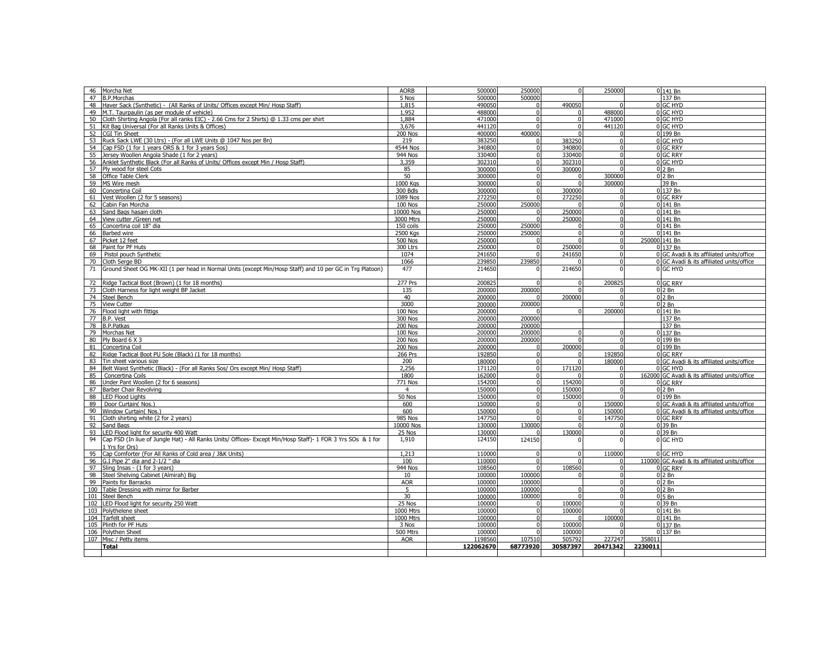| 46<br>Morcha Net                                                                                                  | <b>AORB</b>     | 500000    | 250000   | $\Omega$    | 250000   |         | $0$ 141 Bn                                    |
|-------------------------------------------------------------------------------------------------------------------|-----------------|-----------|----------|-------------|----------|---------|-----------------------------------------------|
| 47<br><b>B.P.Morchas</b>                                                                                          | 5 Nos           | 500000    | 500000   |             |          |         | 137 Bn                                        |
| 48<br>Haver Sack (Synthetic) - (All Ranks of Units/ Offices except Min/ Hosp Staff)                               | 1.815           | 490050    |          | 490050      |          |         | 0 GC HYD                                      |
| M.T. Taurpaulin (as per module of vehicle)<br>49                                                                  | 1,952           | 488000    |          | $\Omega$    | 488000   |         | 0 GC HYD                                      |
| Cloth Shirting Angola (For all ranks EIC) - 2.66 Cms for 2 Shirts) @ 1.33 cms per shirt<br>50                     | 1,884           | 471000    |          | $\mathbf 0$ | 471000   |         | 0 GC HYD                                      |
|                                                                                                                   |                 |           |          | $\Omega$    |          |         |                                               |
| Kit Bag Universal (For all Ranks Units & Offices)<br>51                                                           | 3,676           | 441120    |          |             | 441120   |         | 0 GC HYD                                      |
| 52<br><b>CGI Tin Sheet</b>                                                                                        | <b>200 Nos</b>  | 400000    | 400000   | $\Omega$    |          |         | 0 199 Bn                                      |
| Ruck Sack LWE (30 Ltrs) - (For all LWE Units @ 1047 Nos per Bn)<br>53                                             | 219             | 383250    |          | 383250      | $\Omega$ |         | 0 GC HYD                                      |
| Cap FSD (1 for 1 years ORS & 1 for 3 years Sos)<br>54                                                             | <b>4544 Nos</b> | 340800    | $\Omega$ | 340800      | $\Omega$ |         | 0 GC RRY                                      |
| 55<br>Jersey Woollen Angola Shade (1 for 2 years)                                                                 | <b>944 Nos</b>  | 330400    | $\Omega$ | 330400      | $\Omega$ |         | 0 GC RRY                                      |
| Anklet Synthetic Black (For all Ranks of Units/ Offices except Min / Hosp Staff)<br>56                            | 3.359           | 302310    | $\Omega$ | 302310      | $\Omega$ |         | 0 GC HYD                                      |
| 57<br>Ply wood for steel Cots                                                                                     | 85              | 300000    | $\Omega$ | 300000      |          |         | $02$ Bn                                       |
| Office Table Clerk<br>58                                                                                          | 50              | 300000    | $\Omega$ | $\Omega$    | 300000   |         | $02$ Bn                                       |
|                                                                                                                   |                 |           | $\Omega$ | $\Omega$    |          |         |                                               |
| 59 MS Wire mesh                                                                                                   | 1000 Kgs        | 300000    |          |             | 300000   |         | 39 Bn                                         |
| Concertina Coil<br>60                                                                                             | 300 Bdls        | 300000    | $\Omega$ | 300000      |          |         | 0 137 Bn                                      |
| Vest Woollen (2 for 5 seasons)<br>61                                                                              | 1089 Nos        | 272250    |          | 272250      |          |         | 0 GC RRY                                      |
| Cabin Fan Morcha<br>62                                                                                            | <b>100 Nos</b>  | 250000    | 250000   | $\Omega$    | $\Omega$ |         | 0 141 Bn                                      |
| 63<br>Sand Bags hasain cloth                                                                                      | 10000 Nos       | 250000    |          | 250000      | $\Omega$ |         | 0 141 Bn                                      |
| 64 View cutter / Green net                                                                                        | 3000 Mtrs       | 250000    |          | 250000      | $\Omega$ |         | $\overline{0}$ 141 Bn                         |
| Concertina coil 18" dia<br>65                                                                                     | 150 coils       | 250000    | 250000   | $\Omega$    |          |         | 0 141 Bn                                      |
|                                                                                                                   |                 |           |          |             |          |         |                                               |
| 66<br>Barbed wire                                                                                                 | 2500 Kgs        | 250000    | 250000   | $\mathbf 0$ | $\Omega$ |         | 0 141 Bn                                      |
| Picket 12 feet<br>67                                                                                              | <b>500 Nos</b>  | 250000    |          | $\Omega$    | $\Omega$ |         | 250000 141 Bn                                 |
| Paint for PF Huts<br>68                                                                                           | 300 Ltrs        | 250000    |          | 250000      | $\Omega$ |         | 0 137 Bn                                      |
| Pistol pouch Synthetic<br>69                                                                                      | 1074            | 241650    |          | 241650      | $\Omega$ |         | 0 GC Avadi & its affiliated units/office      |
| 70<br>Cloth Serge BD                                                                                              | 1066            | 239850    | 239850   | $\Omega$    |          |         | 0 GC Avadi & its affiliated units/office      |
| 71<br>Ground Sheet OG MK-XII (1 per head in Normal Units (except Min/Hosp Staff) and 10 per GC in Trg Platoon)    | 477             | 214650    |          | 214650      |          |         | 0 GC HYD                                      |
|                                                                                                                   |                 |           |          |             |          |         |                                               |
|                                                                                                                   |                 |           |          |             |          |         |                                               |
| Ridge Tactical Boot (Brown) (1 for 18 months)<br>72                                                               | <b>277 Prs</b>  | 200825    |          | $\Omega$    | 200825   |         | 0 GC RRY                                      |
| 73<br>Cloth Harness for light weight BP Jacket                                                                    | 135             | 200000    | 200000   |             |          |         | $02$ Bn                                       |
| 74<br>Steel Bench                                                                                                 | 40              | 200000    |          | 200000      |          |         | $02$ Bn                                       |
| <b>View Cutter</b><br>75                                                                                          | 3000            | 200000    | 200000   |             |          |         | $02$ Bn                                       |
| 76 Flood light with fittigs                                                                                       | <b>100 Nos</b>  | 200000    |          |             | 200000   |         | 0 141 Bn                                      |
| 77<br>B.P. Vest                                                                                                   | 300 Nos         | 200000    | 200000   |             |          |         | 137 Bn                                        |
| 78<br><b>B.P.Patkas</b>                                                                                           | <b>200 Nos</b>  | 200000    | 200000   |             |          |         | 137 Bn                                        |
|                                                                                                                   |                 |           | 200000   | $\Omega$    |          |         | 0 137 Bn                                      |
| 79 Morchas Net                                                                                                    | <b>100 Nos</b>  | 200000    |          |             |          |         |                                               |
| 80<br>Ply Board 6 X 3                                                                                             | <b>200 Nos</b>  | 200000    | 200000   |             |          |         | 0 199 Bn                                      |
| Concertina Coil<br>81                                                                                             | <b>200 Nos</b>  | 200000    |          | 200000      |          |         | 0 199 Bn                                      |
| Ridge Tactical Boot PU Sole (Black) (1 for 18 months)<br>82                                                       | 266 Prs         | 192850    | $\Omega$ | $\Omega$    | 192850   |         | <b>O</b> GC RRY                               |
| Tin sheet various size<br>83                                                                                      | 200             | 180000    | $\Omega$ | $\Omega$    | 180000   |         | 0 GC Avadi & its affiliated units/office      |
| Belt Waist Synthetic (Black) - (For all Ranks Sos/ Ors except Min/ Hosp Staff)<br>84                              | 2,256           | 171120    | $\Omega$ | 171120      |          |         | 0 GC HYD                                      |
| 85<br>Concertina Coils                                                                                            | 1800            | 162000    | $\Omega$ | $\Omega$    | $\Omega$ |         | 162000 GC Avadi & its affiliated units/office |
| 86<br>Under Pant Woollen (2 for 6 seasons)                                                                        | 771 Nos         | 154200    |          | 154200      | $\Omega$ |         | 0 GC RRY                                      |
|                                                                                                                   |                 |           |          |             |          |         | $02$ Bn                                       |
| 87<br>Barber Chair Revolving                                                                                      | $\overline{4}$  | 150000    |          | 150000      |          |         |                                               |
| <b>LED Flood Lights</b><br>88                                                                                     | 50 Nos          | 150000    |          | 150000      |          |         | 0 199 Bn                                      |
| 89<br>Door Curtain(Nos.                                                                                           | 600             | 150000    | $\Omega$ | $\Omega$    | 150000   |         | 0 GC Avadi & its affiliated units/office      |
| Window Curtain( Nos.<br>90                                                                                        | 600             | 150000    |          | $\mathbf 0$ | 150000   |         | 0 GC Avadi & its affiliated units/office      |
| 91<br>Cloth shirting white (2 for 2 years)                                                                        | <b>985 Nos</b>  | 147750    |          | $\Omega$    | 147750   |         | 0 GC RRY                                      |
| 92<br>Sand Bags                                                                                                   | 10000 Nos       | 130000    | 130000   | $\Omega$    | $\Omega$ |         | 0 39 Bn                                       |
| 93<br>LED Flood light for security 400 Watt                                                                       | 25 Nos          | 130000    |          | 130000      | $\Omega$ |         | 0 39 Bn                                       |
| 94<br>Cap FSD (In liue of Jungle Hat) - All Ranks Units/ Offices- Except Min/Hosp Staff)- 1 FOR 3 Yrs SOs & 1 for | 1,910           | 124150    | 124150   |             |          |         | 0 GC HYD                                      |
|                                                                                                                   |                 |           |          |             |          |         |                                               |
| LYrs for Ors)                                                                                                     |                 |           |          |             |          |         |                                               |
| Cap Comforter (For All Ranks of Cold area / J&K Units)<br>95                                                      | 1.213           | 110000    |          | $\Omega$    | 110000   |         | 0 GC HYD                                      |
| G.I Pipe 2" dia and 2-1/2 " dia<br>96                                                                             | 100             | 110000    |          | $\Omega$    |          |         | 110000 GC Avadi & its affiliated units/office |
| 97<br>Sling Insas - (1 for 3 years)                                                                               | <b>944 Nos</b>  | 108560    |          | 108560      |          |         | 0 GC RRY                                      |
| Steel Shelving Cabinet (Almirah) Big<br>98                                                                        | 10              | 100000    | 100000   | $\Omega$    | $\Omega$ |         | $02$ Bn                                       |
| 99<br>Paints for Barracks                                                                                         | <b>AOR</b>      | 100000    | 100000   |             | $\Omega$ |         | $02$ Bn                                       |
| 100<br>Table Dressing with mirror for Barber                                                                      | 5               | 100000    | 100000   | $\Omega$    | $\Omega$ |         | $02$ Bn                                       |
|                                                                                                                   | 30              |           | 100000   | $\Omega$    |          |         | $05$ Bn                                       |
| 101<br>Steel Bench                                                                                                |                 | 100000    |          |             |          |         |                                               |
| LED Flood light for security 250 Watt<br>102                                                                      | 25 Nos          | 100000    |          | 100000      |          |         | 0 39 Bn                                       |
| 103<br>Polythelene sheet                                                                                          | 1000 Mtrs       | 100000    |          | 100000      |          |         | 0 141 Bn                                      |
| 104 Tarfelt sheet                                                                                                 | 1000 Mtrs       | 100000    |          | $\Omega$    | 100000   |         | 0 141 Bn                                      |
| 105 Plinth for PF Huts                                                                                            | 3 Nos           | 100000    |          | 100000      |          |         | 0 137 Bn                                      |
| 106 Polythen Sheet                                                                                                | 500 Mtrs        | 100000    |          | 100000      |          |         | 0 137 Bn                                      |
| 107 Misc / Petty items                                                                                            | <b>AOR</b>      | 1198560   | 107510   | 505792      | 227247   | 358011  |                                               |
| Total                                                                                                             |                 | 122062670 | 68773920 | 30587397    | 20471342 | 2230011 |                                               |
|                                                                                                                   |                 |           |          |             |          |         |                                               |
|                                                                                                                   |                 |           |          |             |          |         |                                               |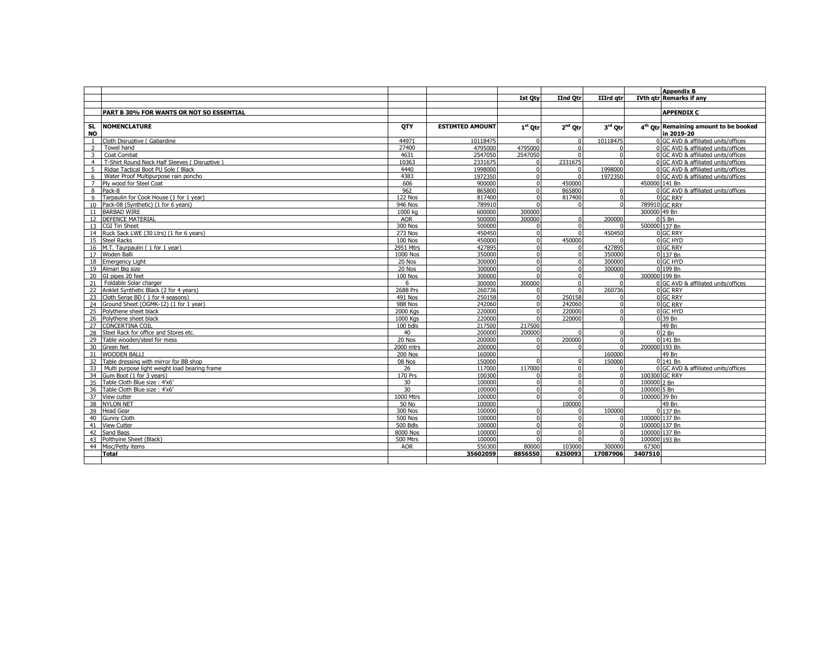|                        |                                               |                |                        |                |             |           |               | <b>Appendix B</b>                                               |
|------------------------|-----------------------------------------------|----------------|------------------------|----------------|-------------|-----------|---------------|-----------------------------------------------------------------|
|                        |                                               |                |                        | <b>Ist Otv</b> | IInd Otr    | IIIrd atr |               | <b>IVth atr Remarks if any</b>                                  |
|                        |                                               |                |                        |                |             |           |               |                                                                 |
|                        | PART B 30% FOR WANTS OR NOT SO ESSENTIAL      |                |                        |                |             |           |               | <b>APPENDIX C</b>                                               |
|                        |                                               |                |                        |                |             |           |               |                                                                 |
| <b>SL</b><br><b>NO</b> | <b>NOMENCLATURE</b>                           | <b>OTY</b>     | <b>ESTIMTED AMOUNT</b> | $1st$ Otr      | $2nd$ Otr   | 3rd Otr   |               | 4 <sup>th</sup> Otr Remaining amount to be booked<br>in 2019-20 |
|                        | Cloth Disruptive (Gabardine                   | 44971          | 10118475               |                | $\Omega$    | 10118475  |               | 0 GC AVD & affiliated units/offices                             |
|                        | Towel hand                                    | 27400          | 4795000                | 4795000        | $\Omega$    |           |               | 0 GC AVD & affiliated units/offices                             |
| 3                      | Coat Combat                                   | 4631           | 2547050                | 2547050        | $\Omega$    |           |               | 0 GC AVD & affiliated units/offices                             |
| $\overline{4}$         | T-Shirt Round Neck Half Sleeves (Disruptive)  | 10363          | 2331675                |                | 2331675     |           |               | 0 GC AVD & affiliated units/offices                             |
| 5                      | Ridge Tactical Boot PU Sole (Black            | 4440           | 1998000                | $\Omega$       | $\Omega$    | 1998000   |               | 0 GC AVD & affiliated units/offices                             |
| 6                      | Water Proof Multipurpose rain poncho          | 4383           | 1972350                | $\Omega$       | $\Omega$    | 1972350   |               | 0 GC AVD & affiliated units/offices                             |
|                        | Ply wood for Steel Coat                       | 606            | 900000                 |                | 450000      |           |               | 450000 141 Bn                                                   |
| 8                      | Pack-8                                        | 962            | 865800                 | $\Omega$       | 865800      |           |               | 0 GC AVD & affiliated units/offices                             |
| $\mathsf{Q}$           | Tarpaulin for Cook House (1 for 1 year)       | 122 Nos        | 817400                 |                | 817400      |           |               | 0 GC RRY                                                        |
| 10                     | Pack-08 (Synthetic) (1 for 6 years)           | <b>946 Nos</b> | 789910                 |                | $\Omega$    | $\Omega$  |               | 789910 GC RRY                                                   |
|                        | 11 BARBAD WIRE                                | 1000 kg        | 600000                 | 300000         |             |           | 300000 49 Bn  |                                                                 |
|                        | 12 DEFENCE MATERIAL                           | <b>AOR</b>     | 500000                 | 300000         |             | 200000    |               | $0\overline{5Bn}$                                               |
|                        | 13 CGI Tin Sheet                              | <b>300 Nos</b> | 500000                 |                | $\Omega$    |           |               | 500000 137 Bn                                                   |
|                        | 14 Ruck Sack LWE (30 Ltrs) (1 for 6 years)    | 273 Nos        | 450450                 |                | $\Omega$    | 450450    |               | 0 GC RRY                                                        |
|                        | 15 Steel Racks                                | <b>100 Nos</b> | 450000                 |                | 450000      |           |               | 0 GC HYD                                                        |
|                        | 16 M.T. Taurpaulin (1 for 1 year)             | 2951 Mtrs      | 427895                 |                | $\Omega$    | 427895    |               | 0 GC RRY                                                        |
|                        | 17 Woden Balli                                | 1000 Nos       | 350000                 |                | $\Omega$    | 350000    |               | 0 137 Bn                                                        |
|                        | 18 Emergency Light                            | 20 Nos         | 300000                 |                | $\mathbf 0$ | 300000    |               | 0 GC HYD                                                        |
|                        | 19 Almari Big size                            | 20 Nos         | 300000                 |                | $\mathbf 0$ | 300000    |               | 0 199 Bn                                                        |
|                        | 20 GI pipes 20 feet                           | 100 Nos        | 300000                 |                | $\Omega$    |           |               | 300000 199 Bn                                                   |
| 21                     | Foldable Solar charger                        | 6              | 300000                 | 300000         | $\Omega$    |           |               | 0 GC AVD & affiliated units/offices                             |
|                        | 22 Anklet Synthetic Black (2 for 4 years)     | 2688 Prs       | 260736                 |                | $\Omega$    | 260736    |               | 0 GC RRY                                                        |
| 23                     | Cloth Serge BD (1 for 4 seasons)              | 491 Nos        | 250158                 |                | 250158      |           |               | 0 GC RRY                                                        |
|                        | 24 Ground Sheet (OGMK-12) (1 for 1 year)      | <b>988 Nos</b> | 242060                 |                | 242060      |           |               | 0 GC RRY                                                        |
|                        | 25 Polythene sheet black                      | 2000 Kas       | 220000                 |                | 220000      |           |               | 0 GC HYD                                                        |
|                        | 26 Polythene sheet black                      | 1000 Kas       | 220000                 |                | 220000      |           |               | 0 39 Bn                                                         |
|                        | 27 CONCERTINA COIL                            | 100 bdls       | 217500                 | 217500         |             |           |               | 49 Bn                                                           |
| 28                     | Steel Rack for office and Stores etc.         | 40             | 200000                 | 200000         |             |           |               | $02$ Bn                                                         |
|                        | 29 Table wooden/steel for mess                | 20 Nos         | 200000                 |                | 200000      |           |               | 0 141 Bn                                                        |
|                        | 30 Green Net                                  | 2000 mtrs      | 200000                 |                | $\Omega$    |           | 200000 193 Bn |                                                                 |
|                        | 31 WOODEN BALLI                               | <b>200 Nos</b> | 160000                 |                |             | 160000    |               | 49 Bn                                                           |
| 32                     | Table dressing with mirror for BB shop        | 08 Nos         | 150000                 |                | $\Omega$    | 150000    |               | 0 141 Bn                                                        |
| 33                     | Multi purpose light weight load bearing frame | 26             | 117000                 | 117000         | $\Omega$    |           |               | 0 GC AVD & affiliated units/offices                             |
|                        | 34 Gum Boot (1 for 3 years)                   | <b>170 Prs</b> | 100300                 |                | $\Omega$    |           |               | 100300 GC RRY                                                   |
|                        | 35 Table Cloth Blue size: 4'x6'               | 30             | 100000                 |                | $\Omega$    | $\Omega$  | 100000 2 Bn   |                                                                 |
|                        | 36 Table Cloth Blue size: 4'x6'               | 30             | 100000                 |                | $\Omega$    |           | 100000 5 Bn   |                                                                 |
|                        | 37 View cutter                                | 1000 Mtrs      | 100000                 |                | $\Omega$    |           | 100000 39 Bn  |                                                                 |
|                        | 38 NYLON NET                                  | 50 No          | 100000                 |                | 100000      |           |               | 49 Bn                                                           |
|                        | 39 Head Gear                                  | 300 Nos        | 100000                 |                |             | 100000    |               | 0 137 Bn                                                        |
|                        | 40 Gunny Cloth                                | <b>500 Nos</b> | 100000                 |                | $\Omega$    |           | 100000 137 Bn |                                                                 |
|                        | 41 View Cutter                                | 500 Bdls       | 100000                 |                | $\Omega$    | $\Omega$  | 100000 137 Bn |                                                                 |
|                        | 42 Sand Bags                                  | 8000 Nos       | 100000                 |                | $\Omega$    | $\Omega$  |               | 100000 137 Bn                                                   |
|                        | 43 Polthyine Sheet (Black)                    | 500 Mtrs       | 100000                 |                | $\Omega$    | $\Omega$  |               | 100000 193 Bn                                                   |
|                        | 44 Misc/Petty items                           | <b>AOR</b>     | 550300                 | 80000          | 103000      | 300000    | 67300         |                                                                 |
|                        | Total                                         |                | 35602059               | 8856550        | 6250093     | 17087906  | 3407510       |                                                                 |
|                        |                                               |                |                        |                |             |           |               |                                                                 |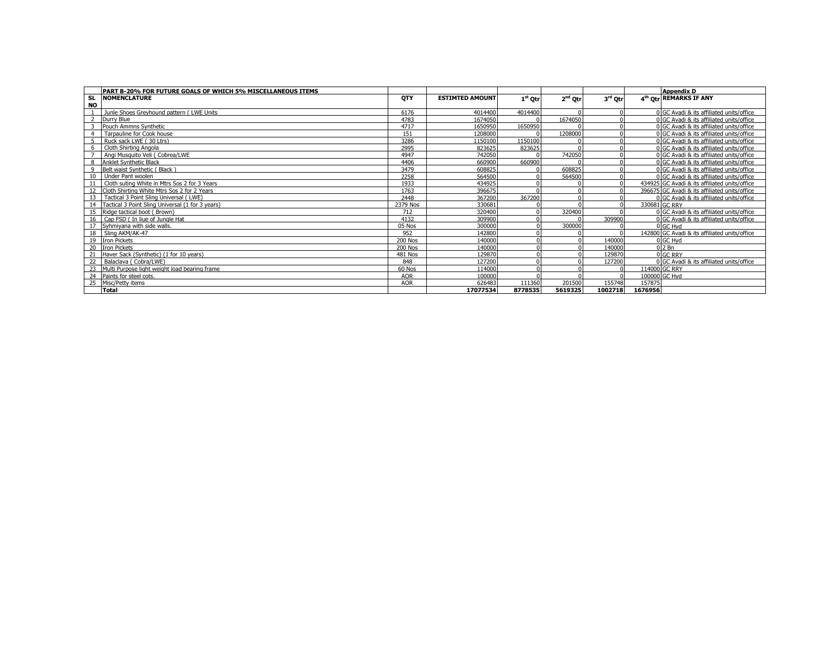|           | PART B-20% FOR FUTURE GOALS OF WHICH 5% MISCELLANEOUS ITEMS |                |                        |           |                     |         |         | <b>Appendix D</b>                             |
|-----------|-------------------------------------------------------------|----------------|------------------------|-----------|---------------------|---------|---------|-----------------------------------------------|
| SL.       | <b>NOMENCLATURE</b>                                         | <b>OTY</b>     | <b>ESTIMTED AMOUNT</b> | $1st$ Otr | 2 <sup>nd</sup> Otr | 3rd Otr |         | 4 <sup>th</sup> Otr REMARKS IF ANY            |
| <b>NO</b> |                                                             |                |                        |           |                     |         |         |                                               |
|           | Junle Shoes Greyhound pattern (LWE Units                    | 6176           | 4014400                | 4014400   | $\Omega$            |         |         | 0 GC Avadi & its affiliated units/office      |
|           | Durry Blue                                                  | 4783           | 1674050                |           | 1674050             |         |         | 0 GC Avadi & its affiliated units/office      |
|           | Pouch Ammns Synthetic                                       | 4717           | 1650950                | 1650950   |                     |         |         | 0 GC Avadi & its affiliated units/office      |
|           | Tarpauline for Cook house                                   | 151            | 1208000                |           | 1208000             |         |         | 0 GC Avadi & its affiliated units/office      |
|           | Ruck sack LWE (30 Ltrs)                                     | 3286           | 1150100                | 1150100   |                     |         |         | 0 GC Avadi & its affiliated units/office      |
| 6         | Cloth Shirting Angola                                       | 2995           | 823625                 | 823625    |                     |         |         | 0 GC Avadi & its affiliated units/office      |
|           | Angi Musquito Veli (Cobrea/LWE                              | 4947           | 742050                 |           | 742050              |         |         | 0 GC Avadi & its affiliated units/office      |
|           | Anklet Synthetic Black                                      | 4406           | 660900                 | 660900    |                     |         |         | 0 GC Avadi & its affiliated units/office      |
|           | Belt waist Synthetic (Black                                 | 3479           | 608825                 |           | 608825              |         |         | 0 GC Avadi & its affiliated units/office      |
|           | Under Pant woolen                                           | 2258           | 564500                 |           | 564500              |         |         | 0 GC Avadi & its affiliated units/office      |
|           | Cloth suting White in Mtrs Sos 2 for 3 Years                | 1933           | 434925                 |           |                     |         |         | 434925 GC Avadi & its affiliated units/office |
|           | Cloth Shirting White Mtrs Sos 2 for 2 Years                 | 1763           | 396675                 |           |                     |         |         | 396675 GC Avadi & its affiliated units/office |
| 13        | Tactical 3 Point Sling Universal (LWE)                      | 2448           | 367200                 | 367200    |                     |         |         | 0 GC Avadi & its affiliated units/office      |
| 14        | Tactical 3 Point Sling Universal (1 for 3 years)            | 2379 Nos       | 330681                 |           |                     |         |         | 330681 GC RRY                                 |
| 15        | Ridge tactical boot (Brown)                                 | 712            | 320400                 |           | 320400              |         |         | 0 GC Avadi & its affiliated units/office      |
|           | 16 Cap FSD ( In liue of Jungle Hat                          | 4132           | 309900                 |           |                     | 309900  |         | 0 GC Avadi & its affiliated units/office      |
|           | Syhmiyana with side walls.                                  | 05 Nos         | 300000                 |           | 300000              |         |         | 0 GC Hvd                                      |
|           | Sling AKM/AK-47                                             | 952            | 142800                 |           |                     |         |         | 142800 GC Avadi & its affiliated units/office |
|           | 19 Iron Pickets                                             | 200 Nos        | 140000                 |           |                     | 140000  |         | 0 GC Hvd                                      |
|           | <b>Tron Pickets</b>                                         | <b>200 Nos</b> | 140000                 |           |                     | 140000  |         | $02$ Bn                                       |
|           | Haver Sack (Synthetic) (1 for 10 years)                     | <b>481 Nos</b> | 129870                 |           |                     | 129870  |         | 0 GC RRY                                      |
|           | Balaclava (Cobra/LWE)                                       | 848            | 127200                 |           |                     | 127200  |         | 0 GC Avadi & its affiliated units/office      |
|           | 23 Multi Purpose light weight load bearing frame            | 60 Nos         | 114000                 |           |                     |         |         | 114000 GC RRY                                 |
|           | Paints for steel cots.                                      | <b>AOR</b>     | 100000                 |           |                     |         |         | 100000 GC Hyd                                 |
| 25        | Misc/Petty items                                            | <b>AOR</b>     | 626483                 | 111360    | 201500              | 155748  | 157875  |                                               |
|           | <b>Total</b>                                                |                | 17077534               | 8778535   | 5619325             | 1002718 | 1676956 |                                               |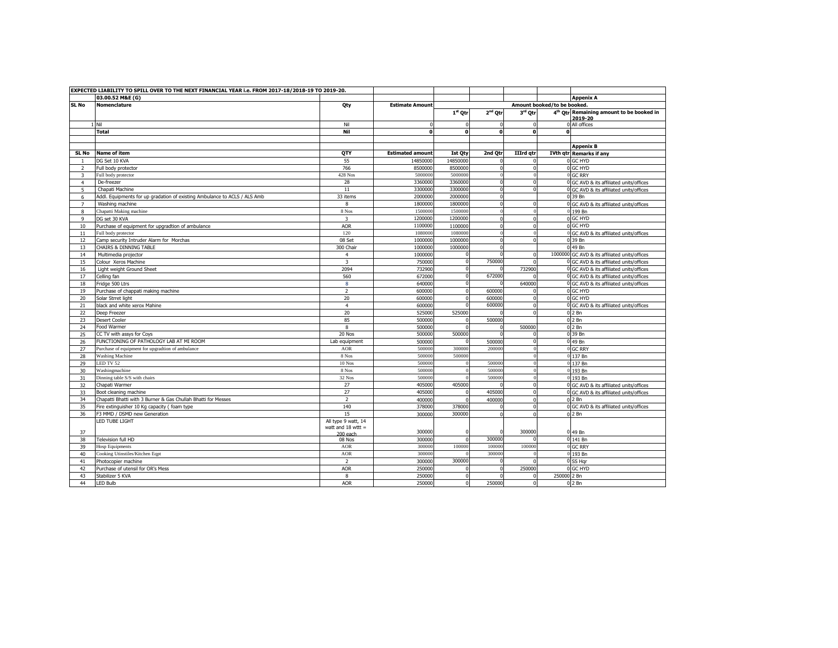|                | EXPECTED LIABILITY TO SPILL OVER TO THE NEXT FINANCIAL YEAR i.e. FROM 2017-18/2018-19 TO 2019-20. |                         |                         |                |              |                  |                             |                                                                 |
|----------------|---------------------------------------------------------------------------------------------------|-------------------------|-------------------------|----------------|--------------|------------------|-----------------------------|-----------------------------------------------------------------|
|                | 03.00.52 M&E (G)                                                                                  |                         |                         |                |              |                  |                             | <b>Appenix A</b>                                                |
| SL No          | <b>Nomenclature</b>                                                                               | Qty                     | <b>Estimate Amount</b>  |                |              |                  | Amount booked/to be booked. |                                                                 |
|                |                                                                                                   |                         |                         | $1st$ Otr      | $2nd$ Otr    | 3rd Qtr          |                             | 4 <sup>th</sup> Otr Remaining amount to be booked in<br>2019-20 |
|                | 1 Nil                                                                                             | Nil                     |                         |                | $\Omega$     | $\Omega$         |                             | 0 All offices                                                   |
|                | <b>Total</b>                                                                                      | Nil                     | 0                       | $\mathbf{o}$   | $\mathbf{o}$ | $\mathbf{0}$     | 0                           |                                                                 |
|                |                                                                                                   |                         |                         |                |              |                  |                             |                                                                 |
|                |                                                                                                   |                         |                         |                |              |                  |                             | <b>Appenix B</b>                                                |
| SL No          | <b>Name of item</b>                                                                               | QTY                     | <b>Estimated amount</b> | <b>Ist Oty</b> | 2nd Qtr      | <b>IIIrd</b> qtr |                             | <b>IVth qtr Remarks if any</b>                                  |
| $\overline{1}$ | DG Set 10 KVA                                                                                     | 55                      | 14850000                | 14850000       | $\sqrt{2}$   | $\Omega$         |                             | 0 GC HYD                                                        |
| $\overline{2}$ | Full body protector                                                                               | 766                     | 8500000                 | 850000         | $\Omega$     | $\Omega$         |                             | 0 GC HYD                                                        |
| 3              | Full body protector                                                                               | 428 Nos                 | 5000000                 | 5000000        | $\theta$     | $\theta$         |                             | 0 GC RRY                                                        |
| $\overline{4}$ | De-freezer                                                                                        | 28                      | 3360000                 | 336000         | $\Omega$     |                  |                             | 0 GC AVD & its affiliated units/offices                         |
| 5              | Chapati Machine                                                                                   | 11                      | 3300000                 | 330000         | $\Omega$     |                  |                             | 0 GC AVD & its affiliated units/offices                         |
| 6              | Addl. Equipments for up gradation of existing Ambulance to ACLS / ALS Amb                         | 33 items                | 2000000                 | 200000         | $\Omega$     |                  |                             | 0 39 Bn                                                         |
| $\overline{7}$ | Washing machine                                                                                   | 8                       | 1800000                 | 1800000        | $\Omega$     | $\Omega$         |                             | 0 GC AVD & its affiliated units/offices                         |
| 8              | Chapatti Making machine                                                                           | 8 Nos                   | 1500000                 | 150000         | $\theta$     |                  |                             | 0 199 Bn                                                        |
| 9              | DG set 30 KVA                                                                                     | $\overline{\mathbf{3}}$ | 1200000                 | 1200000        | $\theta$     | $\Omega$         |                             | 0 GC HYD                                                        |
| 10             | Purchase of equipment for upgradtion of ambulance                                                 | <b>AOR</b>              | 1100000                 | 110000         | $\Omega$     | $\Omega$         |                             | 0 GC HYD                                                        |
| 11             | Full body protector                                                                               | 120                     | 1080000                 | 108000         |              |                  |                             | 0 GC AVD & its affiliated units/offices                         |
| 12             | Camp security Intruder Alarm for Morchas                                                          | 08 Set                  | 1000000                 | 100000         | $\Omega$     |                  |                             | 0 39 Bn                                                         |
| 13             | <b>CHAIRS &amp; DINNING TABLE</b>                                                                 | 300 Chair               | 1000000                 | 1000000        | $\Omega$     |                  |                             | 0 49 Bn                                                         |
| 14             | Multimedia projector                                                                              | $\overline{4}$          | 1000000                 |                |              | $\Omega$         |                             | 1000000 GC AVD & its affiliated units/offices                   |
| 15             | Colour Xeros Machine                                                                              | $\overline{\mathbf{3}}$ | 750000                  |                | 750000       |                  |                             | 0 GC AVD & its affiliated units/offices                         |
| 16             | Light weight Ground Sheet                                                                         | 2094                    | 732900                  |                |              | 732900           |                             | 0 GC AVD & its affiliated units/offices                         |
| 17             | Celling fan                                                                                       | 560                     | 672000                  | $\Omega$       | 672000       |                  |                             | 0 GC AVD & its affiliated units/offices                         |
| 18             | Fridge 500 Ltrs                                                                                   | 8                       | 640000                  |                |              | 640000           |                             | 0 GC AVD & its affiliated units/offices                         |
| 19             | Purchase of chappati making machine                                                               | $\overline{2}$          | 600000                  | <sup>n</sup>   | 600000       | $\Omega$         |                             | 0 GC HYD                                                        |
| 20             | Solar Strret light                                                                                | 20                      | 600000                  | $\Omega$       | 600000       | $\Omega$         |                             | 0 GC HYD                                                        |
| 21             | black and white xerox Mahine                                                                      | $\overline{4}$          | 600000                  |                | 600000       | $\Omega$         |                             | 0 GC AVD & its affiliated units/offices                         |
| 22             | Deep Freezer                                                                                      | 20                      | 525000                  | 525000         |              |                  |                             | $02$ Bn                                                         |
| 23             | <b>Desert Cooler</b>                                                                              | 85                      | 500000                  |                | 500000       |                  |                             | $02$ Bn                                                         |
| 24             | Food Warmer                                                                                       | 8                       | 500000                  |                | $\Omega$     | 500000           |                             | $02$ Bn                                                         |
| 25             | CC TV with assys for Coys                                                                         | 20 Nos                  | 500000                  | 500000         | ſ            |                  |                             | 0 39 Bn                                                         |
| 26             | FUNCTIONING OF PATHOLOGY LAB AT MI ROOM                                                           | Lab equipment           | 500000                  |                | 500000       | $\mathbf{0}$     |                             | $0$ 49 Bn                                                       |
| 27             | Purchase of equipment for upgradtion of ambulance                                                 | <b>AOR</b>              | 500000                  | 300000         | 200000       |                  |                             | 0 GC RRY                                                        |
| 28             | <b>Washing Machine</b>                                                                            | 8 Nos                   | 50000                   | 500000         |              |                  |                             | 0 137 Bn                                                        |
| 29             | LED TV 52                                                                                         | 10 Nos                  | 50000                   |                | 500000       |                  |                             | 0 137 Bn                                                        |
| 30             | Washingmachine                                                                                    | 8 Nos                   | 500000                  |                | 500000       | $\Omega$         |                             | 0 193 Bn                                                        |
| 31             | Dinning table S/S with chairs                                                                     | 32 Nos                  | 500000                  |                | 500000       |                  |                             | 0 193 Bn                                                        |
| 32             | Chapati Warmer                                                                                    | 27                      | 405000                  | 405000         |              | $\Omega$         |                             | 0 GC AVD & its affiliated units/offices                         |
| 33             | Boot cleaning machine                                                                             | 27                      | 405000                  |                | 405000       | $\mathbf{0}$     |                             | 0 GC AVD & its affiliated units/offices                         |
| 34             | Chapatti Bhatti with 3 Burner & Gas Chullah Bhatti for Messes                                     | $\overline{2}$          | 400000                  |                | 400000       | $\Omega$         |                             | $02$ Bn                                                         |
| 35             | Fire extinguisher 10 Kg capacity (foam type                                                       | 140                     | 378000                  | 378000         |              | $\Omega$         |                             | 0 GC AVD & its affiliated units/offices                         |
| 36             | F3 MMD / DSMD new Generation                                                                      | 15                      | 300000                  | 300000         | $\Omega$     | $\Omega$         |                             | 0 2 Bn                                                          |
|                | <b>LED TUBE LIGHT</b>                                                                             | All type 9 watt, 14     |                         |                |              |                  |                             |                                                                 |
| 37             |                                                                                                   | watt and $18$ wttt =    | 300000                  |                | C            | 300000           |                             | 0 49 Bn                                                         |
| 38             | Television full HD                                                                                | 200 each<br>08 Nos      | 300000                  |                | 300000       |                  |                             | 0 141 Bn                                                        |
| 39             | <b>Hosp Equipments</b>                                                                            | <b>AOR</b>              | 300000                  | 100000         | 100000       | 100000           |                             | 0 GC RRY                                                        |
| 40             | Cooking Utinstiles/Kitchen Eqpt                                                                   | <b>AOR</b>              | 300000                  |                | 300000       |                  |                             | 0 193 Bn                                                        |
| 41             | Photocopier machine                                                                               | $\overline{2}$          | 300000                  | 300000         | $\Omega$     | $\Omega$         |                             | 0 SS Hgr                                                        |
| 42             | Purchase of utensil for OR's Mess                                                                 | <b>AOR</b>              | 250000                  |                | $\sqrt{2}$   | 250000           |                             | 0 GC HYD                                                        |
| 43             | Stabilizer 5 KVA                                                                                  | 8                       | 250000                  | $\Omega$       | $\Omega$     | $\Omega$         | 250000 2 Bn                 |                                                                 |
| 44             | <b>LED Bulb</b>                                                                                   | <b>AOR</b>              | 250000                  | $\Omega$       | 250000       | $\Omega$         |                             | $02$ Bn                                                         |
|                |                                                                                                   |                         |                         |                |              |                  |                             |                                                                 |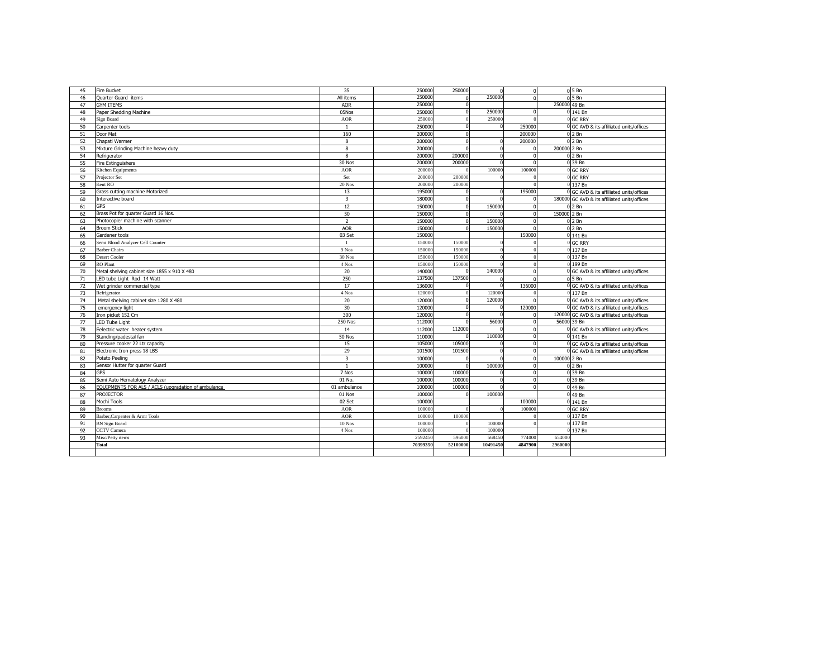| 45 | <b>Fire Bucket</b>                                  | 35                      | 250000   | 250000   |              | $\Omega$     |              | $05$ Bn                                      |
|----|-----------------------------------------------------|-------------------------|----------|----------|--------------|--------------|--------------|----------------------------------------------|
| 46 | <b>Ouarter Guard items</b>                          | All items               | 250000   |          | 250000       | $\Omega$     |              | 0.5Bn                                        |
| 47 | <b>GYM ITEMS</b>                                    | <b>AOR</b>              | 250000   |          |              |              | 250000 49 Bn |                                              |
| 48 | Paper Shedding Machine                              | 05Nos                   | 250000   | $\Omega$ | 250000       | $\Omega$     |              | 0 141 Bn                                     |
| 49 | Sign Board                                          | <b>AOR</b>              | 250000   |          | 250000       | $\Omega$     |              | 0 GC RRY                                     |
| 50 | Carpenter tools                                     | $\mathbf{1}$            | 250000   | $\Omega$ | $\Omega$     | 250000       |              | 0 GC AVD & its affiliated units/offices      |
| 51 | Door Mat                                            | 160                     | 200000   | $\Omega$ |              | 200000       |              | 0 2 Bn                                       |
| 52 | Chapati Warmer                                      | 8                       | 200000   | $\Omega$ | $\Omega$     | 200000       |              | $02$ Bn                                      |
| 53 | Mixture Grinding Machine heavy duty                 | 8                       | 200000   |          | $\Omega$     | $\Omega$     | 200000 2 Bn  |                                              |
| 54 | Refrigerator                                        | 8                       | 200000   | 200000   | $\Omega$     | $\Omega$     |              | $02$ Bn                                      |
| 55 | Fire Extinguishers                                  | 30 Nos                  | 200000   | 200000   |              |              |              | 0 39 Bn                                      |
| 56 | Kitchen Equipments                                  | <b>AOR</b>              | 200000   |          | 100000       | 100000       |              | 0 GC RRY                                     |
| 57 | Projector Set                                       | Set                     | 200000   | 20000    |              |              |              | 0 GC RRY                                     |
| 58 | Kent RO                                             | 20 Nos                  | 200000   | 20000    |              |              |              | 0 137 Bn                                     |
| 59 | Grass cutting machine Motorized                     | 13                      | 195000   |          | $\Omega$     | 195000       |              | 0 GC AVD & its affiliated units/offices      |
| 60 | Interactive board                                   | $\overline{\mathbf{3}}$ | 180000   | $\Omega$ |              | $\Omega$     |              | 180000 GC AVD & its affiliated units/offices |
| 61 | <b>GPS</b>                                          | 12                      | 150000   | $\Omega$ | 150000       | $\mathbf{0}$ |              | $02$ Bn                                      |
| 62 | Brass Pot for quarter Guard 16 Nos.                 | 50                      | 150000   | $\Omega$ |              | $\Omega$     | 150000 2 Bn  |                                              |
| 63 | Photocopier machine with scanner                    | $\overline{2}$          | 150000   | $\Omega$ | 150000       | $\Omega$     |              | $02$ Bn                                      |
| 64 | <b>Broom Stick</b>                                  | <b>AOR</b>              | 150000   | $\Omega$ | 150000       |              |              | $02$ Bn                                      |
| 65 | Gardener tools                                      | 03 Set                  | 150000   |          |              | 150000       |              | 0 141 Bn                                     |
| 66 | Semi Blood Analyzer Cell Counter                    | $\mathbf{1}$            | 150000   | 150000   |              |              |              | 0 GC RRY                                     |
| 67 | <b>Barber Chairs</b>                                | 9 Nos                   | 150000   | 150000   |              |              |              | 0 137 Bn                                     |
| 68 | Desert Cooler                                       | 30 Nos                  | 150000   | 15000    |              |              |              | 0 137 Bn                                     |
| 69 | <b>RO</b> Plant                                     | 4 Nos                   | 150000   | 15000    |              |              |              | 0 199 Bn                                     |
| 70 | Metal shelving cabinet size 1855 x 910 X 480        | 20                      | 140000   |          | 140000       | $\Omega$     |              | 0 GC AVD & its affiliated units/offices      |
| 71 | LED tube Light Rod 14 Watt                          | 250                     | 137500   | 137500   |              |              |              | $05$ Bn                                      |
| 72 | Wet grinder commercial type                         | 17                      | 136000   |          |              | 136000       |              | 0 GC AVD & its affiliated units/offices      |
| 73 | Refrigerator                                        | 4 Nos                   | 120000   |          | 120000       |              |              | 0 137 Bn                                     |
| 74 | Metal shelving cabinet size 1280 X 480              | 20                      | 120000   | $\Omega$ | 120000       | $\Omega$     |              | 0 GC AVD & its affiliated units/offices      |
| 75 | emergency light                                     | 30                      | 120000   | $\Omega$ | $\Omega$     | 120000       |              | 0 GC AVD & its affiliated units/offices      |
| 76 | Iron picket 152 Cm                                  | 300                     | 120000   | $\Omega$ | $\Omega$     | $\Omega$     |              | 120000 GC AVD & its affiliated units/offices |
| 77 | LED Tube Light                                      | <b>250 Nos</b>          | 112000   |          | 56000        | $\mathbf{0}$ |              | 56000 39 Bn                                  |
| 78 | Eelectric water heater system                       | 14                      | 112000   | 112000   |              | $\Omega$     |              | 0 GC AVD & its affiliated units/offices      |
| 79 | Standing/padestal fan                               | 50 Nos                  | 110000   |          | 110000       | $\Omega$     |              | 0 141 Bn                                     |
| 80 | Pressure cooker 22 Ltr capacity                     | 15                      | 105000   | 105000   |              | $\Omega$     |              | 0 GC AVD & its affiliated units/offices      |
| 81 | Electronic Iron press 18 LBS                        | 29                      | 101500   | 101500   | $\mathbf{r}$ | $\Omega$     |              | 0 GC AVD & its affiliated units/offices      |
| 82 | Potato Peeling                                      | $\overline{3}$          | 100000   |          |              | $\Omega$     | 100000 2 Bn  |                                              |
| 83 | Sensor Hutter for quarter Guard                     | $\mathbf{1}$            | 100000   |          | 100000       | $\Omega$     |              | $02$ Bn                                      |
| 84 | <b>GPS</b>                                          | 7 Nos                   | 100000   | 100000   |              | $\Omega$     |              | 0 39 Bn                                      |
| 85 | Semi Auto Hematology Analyzer                       | 01 No.                  | 100000   | 100000   |              | $\Omega$     |              | 0 39 Bn                                      |
| 86 | EQUIPMENTS FOR ALS / ACLS (upgradation of ambulance | 01 ambulance            | 100000   | 100000   |              | $\Omega$     |              | 0 49 Bn                                      |
| 87 | <b>PROJECTOR</b>                                    | 01 Nos                  | 100000   | $\Omega$ | 100000       |              |              | 0 49 Bn                                      |
| 88 | Mochi Tools                                         | 02 Set                  | 100000   |          |              | 100000       |              | 0 141 Bn                                     |
| 89 | <b>Brooms</b>                                       | <b>AOR</b>              | 100000   |          | C            | 100000       |              | 0 GC RRY                                     |
| 90 | Barber, Carpenter & Armr Tools                      | <b>AOR</b>              | 100000   | 100000   |              |              |              | 0 137 Bn                                     |
| 91 | <b>BN</b> Sign Board                                | 10 Nos                  | 100000   |          | 100000       |              |              | 0 137 Bn                                     |
| 92 | <b>CCTV</b> Camera                                  | 4 Nos                   | 10000    |          | 100000       |              |              | 0 137 Bn                                     |
| 93 | Misc/Petty items                                    |                         | 259245   | 59600    | 568450       | 774000       | 654000       |                                              |
|    | <b>Total</b>                                        |                         | 70399350 | 52100000 | 10491450     | 4847900      | 2960000      |                                              |
|    |                                                     |                         |          |          |              |              |              |                                              |
|    |                                                     |                         |          |          |              |              |              |                                              |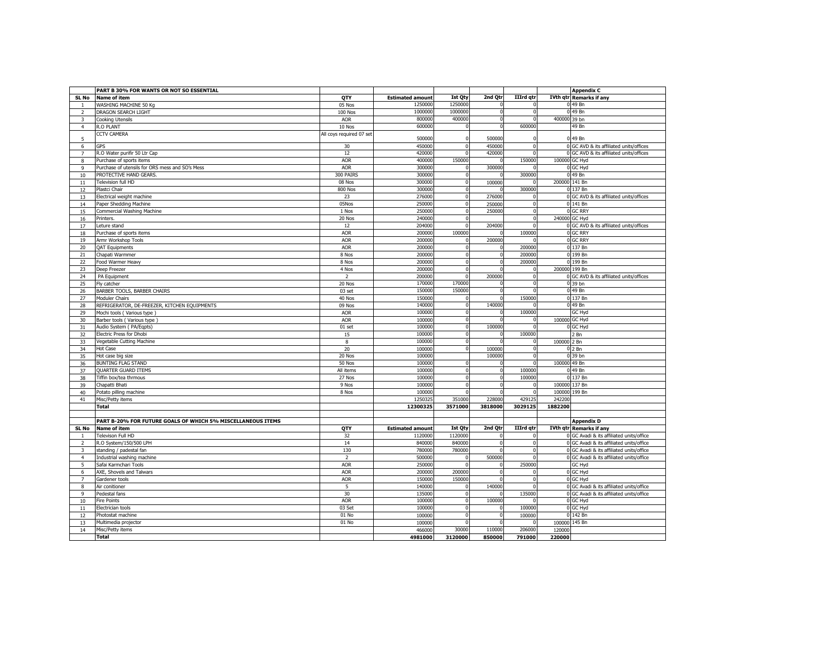|                | PART B 30% FOR WANTS OR NOT SO ESSENTIAL                    |                          |                         |                |             |                  |              | <b>Appendix C</b>                        |
|----------------|-------------------------------------------------------------|--------------------------|-------------------------|----------------|-------------|------------------|--------------|------------------------------------------|
| SL No          | <b>Name of item</b>                                         | QTY                      | <b>Estimated amount</b> | <b>Ist Qty</b> | 2nd Qtr     | IIIrd qtr        |              | <b>IVth qtr Remarks if any</b>           |
|                | WASHING MACHINE 50 Kg                                       | 05 Nos                   | 1250000                 | 125000         |             |                  |              | 0 49 Bn                                  |
|                |                                                             |                          | 1000000                 | 1000000        |             | $\Omega$         |              | 0 49 Bn                                  |
| $\overline{2}$ | DRAGON SEARCH LIGHT                                         | <b>100 Nos</b>           | 800000                  | 400000         |             |                  |              |                                          |
| 3              | <b>Cooking Utensils</b>                                     | AOR                      |                         |                | $\mathbf 0$ | $\mathbf{0}$     | 400000 39 bn |                                          |
| $\overline{4}$ | R.O PLANT                                                   | 10 Nos                   | 600000                  |                | $\Omega$    | 600000           |              | 49 Bn                                    |
| 5              | <b>CCTV CAMERA</b>                                          | All coys required 07 set | 500000                  |                | 500000      |                  |              | 0 49 Bn                                  |
| 6              | <b>GPS</b>                                                  | 30                       | 450000                  |                | 450000      | $\mathbf 0$      |              | 0 GC AVD & its affiliated units/offices  |
| $\overline{7}$ | R.O Water purifir 50 Ltr Cap                                | 12                       | 420000                  | $\Omega$       | 420000      | $\overline{0}$   |              | 0 GC AVD & its affiliated units/offices  |
| 8              | Purchase of sports items                                    | <b>AOR</b>               | 400000                  | 150000         |             | 150000           |              | 100000 GC Hyd                            |
| 9              | Purchase of utensils for ORS mess and SO's Mess             | <b>AOR</b>               | 300000                  |                | 300000      | n                |              | 0 GC Hyd                                 |
| 10             | PROTECTIVE HAND GEARS.                                      | 300 PAIRS                | 300000                  |                |             | 300000           |              | 0 49 Bn                                  |
|                | Television full HD                                          | 08 Nos                   | 300000                  | $\Omega$       | 100000      | $\Omega$         |              | 200000 141 Bn                            |
| 11             |                                                             |                          |                         |                |             |                  |              |                                          |
| 12             | Plastci Chair                                               | <b>800 Nos</b>           | 300000                  | $\mathbf{0}$   | $\Omega$    | 300000           |              | 0 137 Bn                                 |
| 13             | Electrical weight machine                                   | 23                       | 276000                  | $\Omega$       | 276000      | $\Omega$         |              | 0 GC AVD & its affiliated units/offices  |
| 14             | Paper Shedding Machine                                      | 05Nos                    | 250000                  | $\Omega$       | 250000      | $\mathbf 0$      |              | 0 141 Bn                                 |
| 15             | Commercial Washing Machine                                  | 1 Nos                    | 250000                  | <sup>n</sup>   | 250000      | $\Omega$         |              | 0 GC RRY                                 |
| $16\,$         | Printers.                                                   | 20 Nos                   | 240000                  | $\Omega$       |             | $\overline{0}$   |              | 240000 GC Hyd                            |
| 17             | Leture stand                                                | 12                       | 204000                  | $\Omega$       | 204000      | $\mathbf{0}$     |              | 0 GC AVD & its affiliated units/offices  |
| 18             | Purchase of sports items                                    | <b>AOR</b>               | 200000                  | 100000         |             | 100000           |              | 0 GC RRY                                 |
| 19             | Armr Workshop Tools                                         | <b>AOR</b>               | 200000                  | <sub>0</sub>   | 200000      | U                |              | 0 GC RRY                                 |
| 20             | <b>QAT Equipments</b>                                       | <b>AOR</b>               | 200000                  | $\Omega$       | $\Omega$    | 200000           |              | 0 137 Bn                                 |
| 21             | Chapati Warmmer                                             | 8 Nos                    | 200000                  | $\Omega$       | $\mathbf 0$ | 200000           |              | 0 199 Bn                                 |
| 22             | Food Warmer Heavy                                           | 8 Nos                    | 200000                  | $\Omega$       | $\mathbf 0$ | 200000           |              | 0 199 Bn                                 |
|                |                                                             |                          |                         | n              |             | n                |              |                                          |
| 23             | Deep Freezer                                                | 4 Nos                    | 200000                  |                |             |                  |              | 200000 199 Bn                            |
| 24             | PA Equipment                                                | $\overline{2}$           | 200000                  | $\Omega$       | 200000      | $\Omega$         |              | 0 GC AVD & its affiliated units/offices  |
| 25             | Fly catcher                                                 | 20 Nos                   | 170000                  | 170000         |             | 0                |              | 0 39 bn                                  |
| 26             | BARBER TOOLS, BARBER CHAIRS                                 | 03 set                   | 150000                  | 150000         |             | O                |              | 0 49 Bn                                  |
| 27             | <b>Moduler Chairs</b>                                       | 40 Nos                   | 150000                  |                |             | 150000           |              | 0 137 Bn                                 |
| 28             | REFRIGERATOR, DE-FREEZER, KITCHEN EQUIPMENTS                | 09 Nos                   | 140000                  | <sub>0</sub>   | 140000      | U                |              | 0 49 Bn                                  |
| 29             | Mochi tools (Various type)                                  | <b>AOR</b>               | 100000                  | n              | n           | 100000           |              | GC Hyd                                   |
| 30             | Barber tools (Various type                                  | <b>AOR</b>               | 100000                  | $\Omega$       |             | 0                |              | 100000 GC Hyd                            |
| 31             | Audio System ( PA/Eqpts)                                    | $01$ set                 | 100000                  |                | 100000      | n                |              | 0 GC Hyd                                 |
| 32             | Electric Press for Dhobi                                    | 15                       | 100000                  | <sup>n</sup>   |             | 100000           |              | 2 Bn                                     |
| 33             | Vegetable Cutting Machine                                   | 8                        | 100000                  | $\Omega$       | $\mathbf 0$ | $\Omega$         | 100000       | 2 Bn                                     |
|                |                                                             | 20                       | 100000                  |                | 100000      | $\Omega$         |              | $02$ Bn                                  |
| 34             | <b>Hot Case</b>                                             |                          |                         |                |             | $\Omega$         |              |                                          |
| 35             | Hot case big size                                           | 20 Nos                   | 100000                  |                | 100000      |                  |              | 0 39 bn                                  |
| 36             | <b>BUNTING FLAG STAND</b>                                   | 50 Nos                   | 100000                  | $\Omega$       |             | $\overline{0}$   | 100000 49 Bn |                                          |
| 37             | QUARTER GUARD ITEMS                                         | All items                | 100000                  | n              | $\mathbf 0$ | 100000           |              | 0 49 Bn                                  |
| 38             | Tiffin box/tea thrmous                                      | 27 Nos                   | 100000                  | n              | $\mathbf 0$ | 100000           |              | 0 137 Bn                                 |
| 39             | Chapatti Bhati                                              | 9 Nos                    | 100000                  | n              | $\Omega$    | $\Omega$         |              | 100000 137 Bn                            |
| 40             | Potato pilling machine                                      | 8 Nos                    | 100000                  |                |             | $\mathbf{0}$     |              | 100000 199 Bn                            |
| 41             | Misc/Petty items                                            |                          | 1250325                 | 351000         | 228000      | 429125           | 242200       |                                          |
|                | <b>Total</b>                                                |                          | 12300325                | 3571000        | 3818000     | 3029125          | 1882200      |                                          |
|                |                                                             |                          |                         |                |             |                  |              |                                          |
|                | PART B-20% FOR FUTURE GOALS OF WHICH 5% MISCELLANEOUS ITEMS |                          |                         |                |             |                  |              | <b>Appendix D</b>                        |
| SL No          | <b>Name of item</b>                                         | QTY                      | <b>Estimated amount</b> | <b>Ist Qty</b> | 2nd Qtr     | <b>IIIrd</b> qtr |              | <b>IVth qtr Remarks if any</b>           |
|                |                                                             |                          |                         |                |             |                  |              |                                          |
|                | Televison Full HD                                           | 32                       | 1120000                 | 1120000        | $\Omega$    | $\mathbf{0}$     |              | 0 GC Avadi & its affiliated units/office |
| $\overline{2}$ | R.O System/150/500 LPH                                      | 14                       | 840000                  | 840000         | $\mathbf 0$ | $\mathbf{0}$     |              | 0 GC Avadi & its affiliated units/office |
| 3              | standing / padestal fan                                     | 130                      | 780000                  | 780000         | $\Omega$    | $\mathbf{0}$     |              | 0 GC Avadi & its affiliated units/office |
| $\overline{4}$ | Industrial washing machine                                  | $\overline{2}$           | 500000                  | $\Omega$       | 500000      | $\Omega$         |              | 0 GC Avadi & its affiliated units/office |
| 5              | Safai Karmchari Tools                                       | <b>AOR</b>               | 250000                  |                | $\mathbf 0$ | 250000           |              | GC Hyd                                   |
| 6              | AXE, Shovels and Talwars                                    | <b>AOR</b>               | 200000                  | 200000         | $\Omega$    | 0                |              | 0 GC Hyd                                 |
| $\overline{7}$ | Gardener tools                                              | <b>AOR</b>               | 150000                  | 150000         |             | $\Omega$         |              | 0 GC Hyd                                 |
| 8              | Air conitioner                                              | 5                        | 140000                  | $\Omega$       | 140000      | <sup>0</sup>     |              | 0 GC Avadi & its affiliated units/office |
| 9              | Pedestal fans                                               | 30                       | 135000                  | $\Omega$       | $\Omega$    | 135000           |              | 0 GC Avadi & its affiliated units/office |
|                |                                                             |                          | 100000                  | $\Omega$       | 100000      | $\Omega$         |              |                                          |
| 10             | <b>Fire Points</b>                                          | <b>AOR</b>               |                         |                |             |                  |              | 0 GC Hyd                                 |
| 11             | Electrician tools                                           | 03 Set                   | 100000                  | $\Omega$       | $\mathbf 0$ | 100000           |              | 0 GC Hyd                                 |
| 12             | Photostat machine                                           | 01 No                    | 100000                  | $\Omega$       | $\mathbf 0$ | 100000           |              | 0 142 Bn                                 |
| 13             | Multimedia projector                                        | 01 No                    | 100000                  |                | $\mathbf 0$ | $\mathbf 0$      | 100000       | 145 Bn                                   |
| 14             | Misc/Petty items                                            |                          | 466000                  | 30000          | 110000      | 206000           | 120000       |                                          |
|                | <b>Total</b>                                                |                          | 4981000                 | 3120000        | 850000      | 791000           | 220000       |                                          |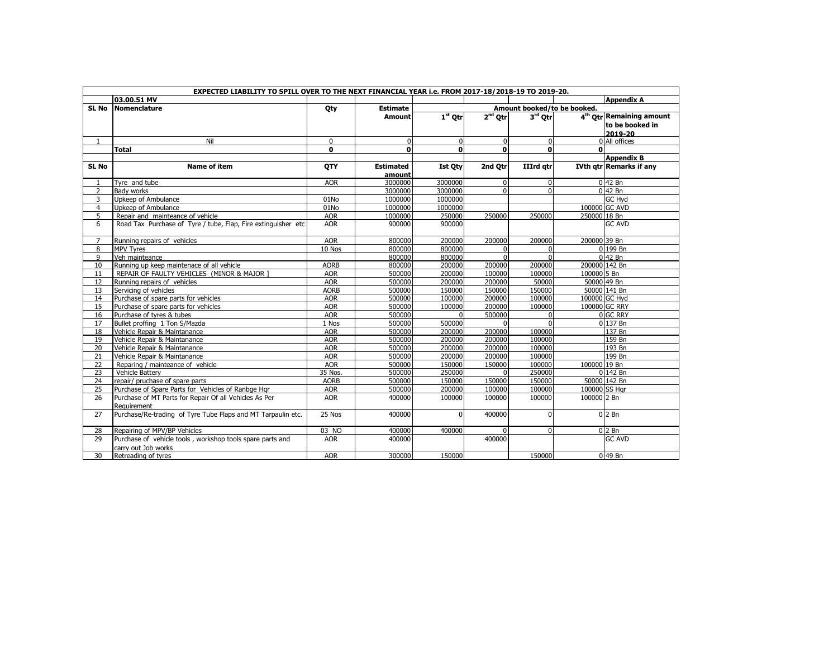|                | EXPECTED LIABILITY TO SPILL OVER TO THE NEXT FINANCIAL YEAR i.e. FROM 2017-18/2018-19 TO 2019-20. |              |                  |                             |             |                  |                                      |  |  |  |  |  |  |
|----------------|---------------------------------------------------------------------------------------------------|--------------|------------------|-----------------------------|-------------|------------------|--------------------------------------|--|--|--|--|--|--|
|                | 03.00.51 MV                                                                                       |              |                  |                             |             |                  | <b>Appendix A</b>                    |  |  |  |  |  |  |
| SL No          | Nomenclature                                                                                      | Qty          | <b>Estimate</b>  | Amount booked/to be booked. |             |                  |                                      |  |  |  |  |  |  |
|                |                                                                                                   |              | <b>Amount</b>    | $1st$ Otr                   | $2nd$ Otr   | $3rd$ Qtr        | 4 <sup>th</sup> Otr Remaining amount |  |  |  |  |  |  |
|                |                                                                                                   |              |                  |                             |             |                  | to be booked in                      |  |  |  |  |  |  |
|                |                                                                                                   |              |                  |                             |             |                  | 2019-20                              |  |  |  |  |  |  |
|                | Nil                                                                                               | $\mathbf 0$  | 0                | $\Omega$                    | $\mathbf 0$ | $\mathbf 0$      | 0 All offices                        |  |  |  |  |  |  |
|                | <b>Total</b>                                                                                      | $\mathbf{0}$ | $\Omega$         | $\Omega$                    | $\Omega$    | $\Omega$         |                                      |  |  |  |  |  |  |
|                |                                                                                                   |              |                  |                             |             |                  | <b>Appendix B</b>                    |  |  |  |  |  |  |
| SL No          | <b>Name of item</b>                                                                               | <b>OTY</b>   | <b>Estimated</b> | <b>Ist Qty</b>              | 2nd Otr     | <b>IIIrd</b> atr | <b>IVth gtr Remarks if any</b>       |  |  |  |  |  |  |
|                |                                                                                                   |              | amount           |                             |             |                  |                                      |  |  |  |  |  |  |
| 1              | Tyre and tube                                                                                     | <b>AOR</b>   | 3000000          | 3000000                     | $\Omega$    | 0                | $0$ 42 Bn                            |  |  |  |  |  |  |
| $\overline{2}$ | Bady works                                                                                        |              | 3000000          | 3000000                     | $\Omega$    | $\Omega$         | $0$ 42 Bn                            |  |  |  |  |  |  |
| 3              | Upkeep of Ambulance                                                                               | 01No         | 1000000          | 1000000                     |             |                  | <b>GC Hyd</b>                        |  |  |  |  |  |  |
| $\overline{4}$ | Upkeep of Ambulance                                                                               | 01No         | 1000000          | 1000000                     |             |                  | 100000 GC AVD                        |  |  |  |  |  |  |
| 5              | Repair and mainteance of vehicle                                                                  | <b>AOR</b>   | 1000000          | 250000                      | 250000      | 250000           | 250000 18 Bn                         |  |  |  |  |  |  |
| 6              | Road Tax Purchase of Tyre / tube, Flap, Fire extinguisher etc                                     | <b>AOR</b>   | 900000           | 900000                      |             |                  | <b>GC AVD</b>                        |  |  |  |  |  |  |
|                |                                                                                                   |              |                  |                             |             |                  |                                      |  |  |  |  |  |  |
| 7              | Running repairs of vehicles                                                                       | <b>AOR</b>   | 800000           | 200000                      | 200000      | 200000           | 200000 39 Bn                         |  |  |  |  |  |  |
| 8              | <b>MPV Tyres</b>                                                                                  | 10 Nos       | 800000           | 800000                      | $\Omega$    | $\Omega$         | 0 199 Bn                             |  |  |  |  |  |  |
| 9              | Veh mainteance                                                                                    |              | 800000           | 800000                      | $\Omega$    | $\Omega$         | $0$ 42 Bn                            |  |  |  |  |  |  |
| 10             | Running up keep maintenace of all vehicle                                                         | <b>AORB</b>  | 800000           | 200000                      | 200000      | 200000           | 200000 142 Bn                        |  |  |  |  |  |  |
| 11             | REPAIR OF FAULTY VEHICLES (MINOR & MAJOR ]                                                        | <b>AOR</b>   | 500000           | 200000                      | 100000      | 100000           | 100000 5 Bn                          |  |  |  |  |  |  |
| 12             | Running repairs of vehicles                                                                       | <b>AOR</b>   | 500000           | 200000                      | 200000      | 50000            | 50000 49 Bn                          |  |  |  |  |  |  |
| 13             | Servicing of vehicles                                                                             | <b>AORB</b>  | 500000           | 150000                      | 150000      | 150000           | 50000 141 Bn                         |  |  |  |  |  |  |
| 14             | Purchase of spare parts for vehicles                                                              | <b>AOR</b>   | 500000           | 100000                      | 200000      | 100000           | 100000 GC Hyd                        |  |  |  |  |  |  |
| 15             | Purchase of spare parts for vehicles                                                              | <b>AOR</b>   | 500000           | 100000                      | 200000      | 100000           | 100000 GC RRY                        |  |  |  |  |  |  |
| 16             | Purchase of tyres & tubes                                                                         | <b>AOR</b>   | 500000           | $\Omega$                    | 500000      | 0                | 0 GC RRY                             |  |  |  |  |  |  |
| 17             | Bullet proffing 1 Ton S/Mazda                                                                     | 1 Nos        | 500000           | 500000                      |             | $\Omega$         | 0 137 Bn                             |  |  |  |  |  |  |
| 18             | Vehicle Repair & Maintanance                                                                      | <b>AOR</b>   | 500000           | 200000                      | 200000      | 100000           | 137 Bn                               |  |  |  |  |  |  |
| 19             | Vehicle Repair & Maintanance                                                                      | <b>AOR</b>   | 500000           | 200000                      | 200000      | 100000           | 159 Bn                               |  |  |  |  |  |  |
| 20             | Vehicle Repair & Maintanance                                                                      | <b>AOR</b>   | 500000           | 200000                      | 200000      | 100000           | 193 Bn                               |  |  |  |  |  |  |
| 21             | Vehicle Repair & Maintanance                                                                      | <b>AOR</b>   | 500000           | 200000                      | 200000      | 100000           | 199 Bn                               |  |  |  |  |  |  |
| 22             | Reparing / mainteance of vehicle                                                                  | <b>AOR</b>   | 500000           | 150000                      | 150000      | 100000           | 100000 19 Bn                         |  |  |  |  |  |  |
| 23             | Vehicle Battery                                                                                   | 35 Nos.      | 500000           | 250000                      | $\Omega$    | 250000           | 0 142 Bn                             |  |  |  |  |  |  |
| 24             | repair/ pruchase of spare parts                                                                   | <b>AORB</b>  | 500000           | 150000                      | 150000      | 150000           | 50000 142 Bn                         |  |  |  |  |  |  |
| 25             | Purchase of Spare Parts for Vehicles of Ranbge Hgr                                                | <b>AOR</b>   | 500000           | 200000                      | 100000      | 100000           | 100000 SS Har                        |  |  |  |  |  |  |
| 26             | Purchase of MT Parts for Repair Of all Vehicles As Per                                            | <b>AOR</b>   | 400000           | 100000                      | 100000      | 100000           | 100000 2 Bn                          |  |  |  |  |  |  |
|                | Requirement                                                                                       |              |                  |                             |             |                  |                                      |  |  |  |  |  |  |
| 27             | Purchase/Re-trading of Tyre Tube Flaps and MT Tarpaulin etc.                                      | 25 Nos       | 400000           | $\Omega$                    | 400000      | $\mathbf{0}$     | $02$ Bn                              |  |  |  |  |  |  |
|                |                                                                                                   |              |                  |                             |             |                  |                                      |  |  |  |  |  |  |
| 28             | Repairing of MPV/BP Vehicles                                                                      | 03 NO        | 400000           | 400000                      | $\Omega$    | $\mathbf{0}$     | $0 2$ Bn                             |  |  |  |  |  |  |
| 29             | Purchase of vehicle tools, workshop tools spare parts and                                         | <b>AOR</b>   | 400000           |                             | 400000      |                  | <b>GC AVD</b>                        |  |  |  |  |  |  |
|                | carry out Job works                                                                               |              |                  |                             |             |                  |                                      |  |  |  |  |  |  |
| 30             | Retreading of tyres                                                                               | <b>AOR</b>   | 300000           | 150000                      |             | 150000           | $0$ 49 Bn                            |  |  |  |  |  |  |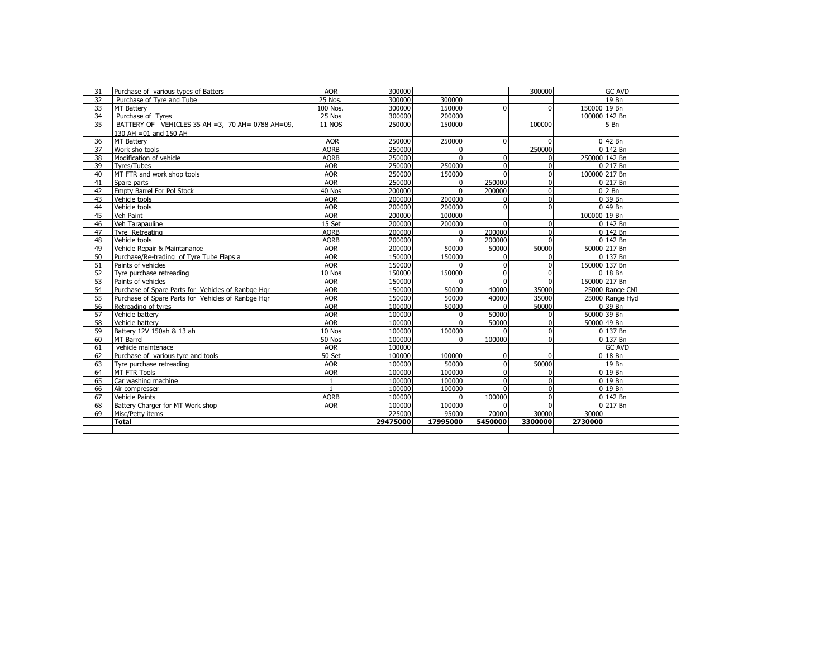| 31 | Purchase of various types of Batters                 | <b>AOR</b>    | 300000   |          |          | 300000       | <b>GC AVD</b>   |
|----|------------------------------------------------------|---------------|----------|----------|----------|--------------|-----------------|
| 32 | Purchase of Tyre and Tube                            | 25 Nos.       | 300000   | 300000   |          |              | 19 Bn           |
| 33 | <b>MT Battery</b>                                    | 100 Nos.      | 300000   | 150000   | $\Omega$ | $\mathbf{0}$ | 150000 19 Bn    |
| 34 | Purchase of Tyres                                    | 25 Nos        | 300000   | 200000   |          |              | 100000 142 Bn   |
| 35 | BATTERY OF VEHICLES 35 AH = 3, 70 AH = 0788 AH = 09, | <b>11 NOS</b> | 250000   | 150000   |          | 100000       | 5 Bn            |
|    | 130 AH = 01 and 150 AH                               |               |          |          |          |              |                 |
| 36 | <b>MT Battery</b>                                    | <b>AOR</b>    | 250000   | 250000   | ŋ        | $\Omega$     | $0$ 42 Bn       |
| 37 | Work sho tools                                       | <b>AORB</b>   | 250000   | $\Omega$ |          | 250000       | 0 142 Bn        |
| 38 | Modification of vehicle                              | <b>AORB</b>   | 250000   | $\Omega$ | U        | $\Omega$     | 250000 142 Bn   |
| 39 | <b>Tyres/Tubes</b>                                   | <b>AOR</b>    | 250000   | 250000   | $\Omega$ | $\mathbf{0}$ | 0 217 Bn        |
| 40 | MT FTR and work shop tools                           | <b>AOR</b>    | 250000   | 150000   |          | $\mathbf{0}$ | 100000 217 Bn   |
| 41 | Spare parts                                          | <b>AOR</b>    | 250000   | $\Omega$ | 250000   | $\Omega$     | 0 217 Bn        |
| 42 | Empty Barrel For Pol Stock                           | 40 Nos        | 200000   | $\Omega$ | 200000   | 0            | $02$ Bn         |
| 43 | Vehicle tools                                        | <b>AOR</b>    | 200000   | 200000   |          | $\mathbf{0}$ | 0 39 Bn         |
| 44 | Vehicle tools                                        | <b>AOR</b>    | 200000   | 200000   |          | $\mathbf{0}$ | $0$ 49 Bn       |
| 45 | Veh Paint                                            | <b>AOR</b>    | 200000   | 100000   |          |              | 100000 19 Bn    |
| 46 | Veh Tarapauline                                      | 15 Set        | 200000   | 200000   |          | $\Omega$     | 0 142 Bn        |
| 47 | Tvre Retreating                                      | <b>AORB</b>   | 200000   | $\Omega$ | 200000   | 0            | 0142 Bn         |
| 48 | Vehicle tools                                        | <b>AORB</b>   | 200000   | $\Omega$ | 200000   | $\mathbf{0}$ | 0 142 Bn        |
| 49 | Vehicle Repair & Maintanance                         | <b>AOR</b>    | 200000   | 50000    | 50000    | 50000        | 50000 217 Bn    |
| 50 | Purchase/Re-trading of Tyre Tube Flaps a             | <b>AOR</b>    | 150000   | 150000   |          | $\Omega$     | 0 137 Bn        |
| 51 | Paints of vehicles                                   | <b>AOR</b>    | 150000   | $\Omega$ |          | $\Omega$     | 150000 137 Bn   |
| 52 | Tyre purchase retreading                             | 10 Nos        | 150000   | 150000   | $\Omega$ | $\mathbf 0$  | 0 18 Bn         |
| 53 | Paints of vehicles                                   | <b>AOR</b>    | 150000   |          | $\Omega$ | $\mathbf{0}$ | 150000 217 Bn   |
| 54 | Purchase of Spare Parts for Vehicles of Ranbge Hgr   | <b>AOR</b>    | 150000   | 50000    | 40000    | 35000        | 25000 Range CNI |
| 55 | Purchase of Spare Parts for Vehicles of Ranbge Hgr   | <b>AOR</b>    | 150000   | 50000    | 40000    | 35000        | 25000 Range Hyd |
| 56 | Retreading of tyres                                  | <b>AOR</b>    | 100000   | 50000    |          | 50000        | 0 39 Bn         |
| 57 | Vehicle battery                                      | <b>AOR</b>    | 100000   |          | 50000    |              | 50000 39 Bn     |
| 58 | Vehicle battery                                      | <b>AOR</b>    | 100000   |          | 50000    | $\mathbf 0$  | 50000 49 Bn     |
| 59 | Battery 12V 150ah & 13 ah                            | 10 Nos        | 100000   | 100000   |          | $\mathbf 0$  | 0 137 Bn        |
| 60 | <b>MT Barrel</b>                                     | 50 Nos        | 100000   | $\Omega$ | 100000   | $\mathbf{0}$ | 0 137 Bn        |
| 61 | vehicle maintenace                                   | <b>AOR</b>    | 100000   |          |          |              | <b>GC AVD</b>   |
| 62 | Purchase of various tyre and tools                   | 50 Set        | 100000   | 100000   |          | $\Omega$     | $0$ 18 Bn       |
| 63 | Tyre purchase retreading                             | <b>AOR</b>    | 100000   | 50000    | $\Omega$ | 50000        | 19 Bn           |
| 64 | <b>MT FTR Tools</b>                                  | <b>AOR</b>    | 100000   | 100000   | n        | $\Omega$     | 019Bn           |
| 65 | Car washing machine                                  | $\mathbf{1}$  | 100000   | 100000   |          | $\Omega$     | 019Bn           |
| 66 | Air compresser                                       |               | 100000   | 100000   |          | $\Omega$     | 0 19 Bn         |
| 67 | <b>Vehicle Paints</b>                                | <b>AORB</b>   | 100000   | $\Omega$ | 100000   | $\mathbf{0}$ | 0 142 Bn        |
| 68 | Battery Charger for MT Work shop                     | <b>AOR</b>    | 100000   | 100000   |          | $\Omega$     | 0 217 Bn        |
| 69 | Misc/Petty items                                     |               | 225000   | 95000    | 70000    | 30000        | 30000           |
|    | <b>Total</b>                                         |               | 29475000 | 17995000 | 5450000  | 3300000      | 2730000         |
|    |                                                      |               |          |          |          |              |                 |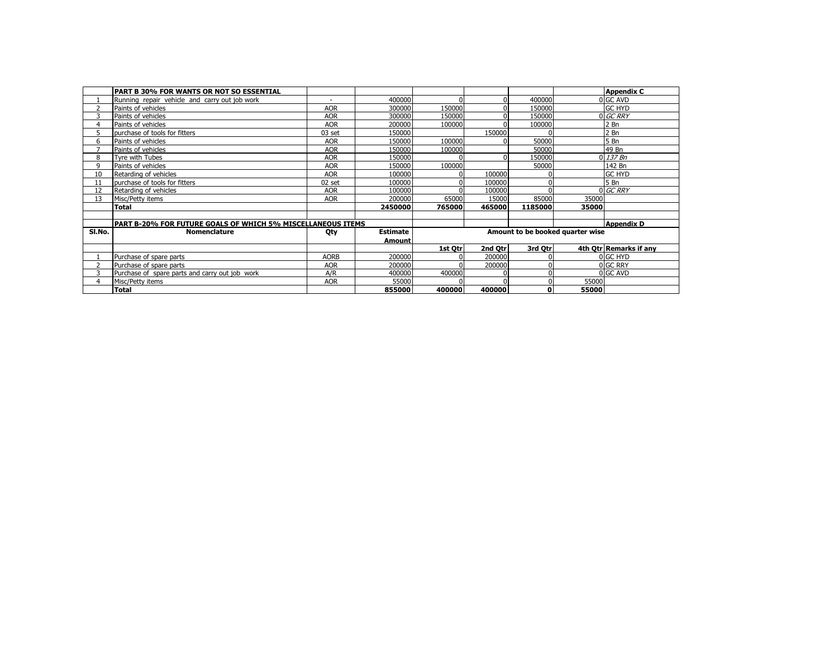|        | <b>PART B 30% FOR WANTS OR NOT SO ESSENTIAL</b>             |             |                 |          |          |             |                                  | <b>Appendix C</b>      |
|--------|-------------------------------------------------------------|-------------|-----------------|----------|----------|-------------|----------------------------------|------------------------|
|        | Running repair vehicle and carry out job work               | ٠           | 400000          | O        |          | 400000      |                                  | 0 GC AVD               |
|        | Paints of vehicles                                          | <b>AOR</b>  | 300000          | 150000   |          | 150000      |                                  | <b>GC HYD</b>          |
|        | Paints of vehicles                                          | <b>AOR</b>  | 300000          | 150000   |          | 150000      |                                  | 0 GC RRY               |
| 4      | Paints of vehicles                                          | <b>AOR</b>  | 200000          | 100000   |          | 100000      |                                  | $2$ Bn                 |
|        | purchase of tools for fitters                               | 03 set      | 150000          |          | 150000   |             |                                  | 2 <sub>Bn</sub>        |
| 6      | Paints of vehicles                                          | <b>AOR</b>  | 150000          | 100000   |          | 50000       |                                  | 5 <sub>Bn</sub>        |
|        | Paints of vehicles                                          | <b>AOR</b>  | 150000          | 100000   |          | 50000       |                                  | 49 Bn                  |
| 8      | Tyre with Tubes                                             | <b>AOR</b>  | 150000          |          |          | 150000      |                                  | $0$ 137 Bn             |
| q      | Paints of vehicles                                          | <b>AOR</b>  | 150000          | 100000   |          | 50000       |                                  | 142 Bn                 |
| 10     | Retarding of vehicles                                       | <b>AOR</b>  | 100000          |          | 100000   |             |                                  | <b>GC HYD</b>          |
| 11     | purchase of tools for fitters                               | 02 set      | 100000          |          | 100000   |             |                                  | 5 Bn                   |
| 12     | Retarding of vehicles                                       | <b>AOR</b>  | 100000          |          | 100000   |             |                                  | 0 GC RRY               |
| 13     | Misc/Petty items                                            | <b>AOR</b>  | 200000          | 65000    | 15000    | 85000       | 35000                            |                        |
|        | <b>Total</b>                                                |             | 2450000         | 765000   | 465000   | 1185000     | 35000                            |                        |
|        |                                                             |             |                 |          |          |             |                                  |                        |
|        | PART B-20% FOR FUTURE GOALS OF WHICH 5% MISCELLANEOUS ITEMS |             |                 |          |          |             |                                  | <b>Appendix D</b>      |
| SI.No. | <b>Nomenclature</b>                                         | Oty         | <b>Estimate</b> |          |          |             | Amount to be booked quarter wise |                        |
|        |                                                             |             | <b>Amount</b>   |          |          |             |                                  |                        |
|        |                                                             |             |                 | 1st Otrl | 2nd Otrl | 3rd Otr     |                                  | 4th Otr Remarks if any |
|        | Purchase of spare parts                                     | <b>AORB</b> | 200000          |          | 200000   |             |                                  | 0 GC HYD               |
|        | Purchase of spare parts                                     | <b>AOR</b>  | 200000          |          | 200000   | $\Omega$    |                                  | 0 GC RRY               |
|        | Purchase of spare parts and carry out job work              | A/R         | 400000          | 400000   |          | 0           |                                  | 0 GC AVD               |
| 4      | Misc/Petty items                                            | <b>AOR</b>  | 55000           |          |          |             | 55000                            |                        |
|        | <b>Total</b>                                                |             | 855000          | 400000   | 400000   | $\mathbf 0$ | 55000                            |                        |